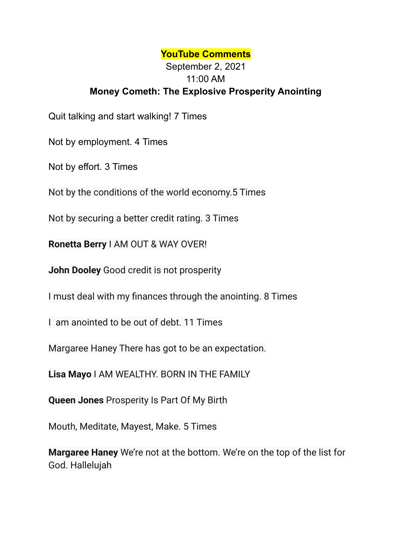## **YouTube Comments**

## September 2, 2021 11:00 AM **Money Cometh: The Explosive Prosperity Anointing**

Quit talking and start walking! 7 Times

Not by employment. 4 Times

Not by effort. 3 Times

Not by the conditions of the world economy.5 Times

Not by securing a better credit rating. 3 Times

**Ronetta Berry** I AM OUT & WAY OVER!

**John Dooley** Good credit is not prosperity

I must deal with my finances through the anointing. 8 Times

I am anointed to be out of debt. 11 Times

Margaree Haney There has got to be an expectation.

**Lisa Mayo** I AM WEALTHY. BORN IN THE FAMILY

**Queen Jones** Prosperity Is Part Of My Birth

Mouth, Meditate, Mayest, Make. 5 Times

**Margaree Haney** We're not at the bottom. We're on the top of the list for God. Hallelujah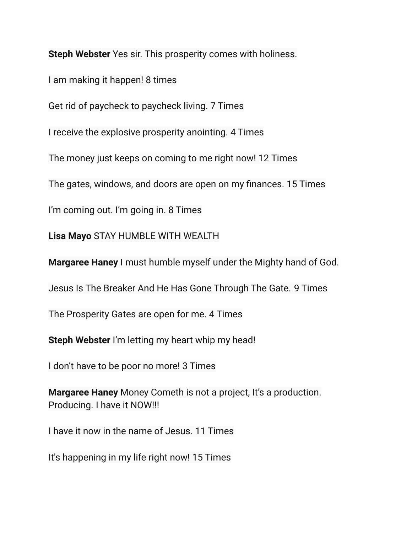**Steph Webster** Yes sir. This prosperity comes with holiness.

I am making it happen! 8 times

Get rid of paycheck to paycheck living. 7 Times

I receive the explosive prosperity anointing. 4 Times

The money just keeps on coming to me right now! 12 Times

The gates, windows, and doors are open on my finances. 15 Times

I'm coming out. I'm going in. 8 Times

**Lisa Mayo** STAY HUMBLE WITH WEALTH

**Margaree Haney** I must humble myself under the Mighty hand of God.

Jesus Is The Breaker And He Has Gone Through The Gate. 9 Times

The Prosperity Gates are open for me. 4 Times

**Steph Webster** I'm letting my heart whip my head!

I don't have to be poor no more! 3 Times

**Margaree Haney** Money Cometh is not a project, It's a production. Producing. I have it NOW!!!

I have it now in the name of Jesus. 11 Times

It's happening in my life right now! 15 Times